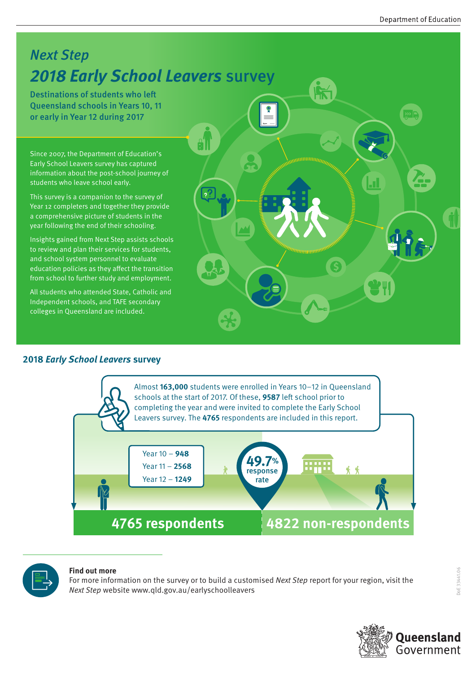### Next Step **2018 Early School Leavers** survey

Destinations of students who left Queensland schools in Years 10, 11 or early in Year 12 during 2017

Since 2007, the Department of Education's Early School Leavers survey has captured information about the post-school journey of students who leave school early.

This survey is a companion to the survey of Year 12 completers and together they provide a comprehensive picture of students in the year following the end of their schooling.

Insights gained from Next Step assists schools to review and plan their services for students, and school system personnel to evaluate education policies as they affect the transition from school to further study and employment.

All students who attended State, Catholic and Independent schools, and TAFE secondary colleges in Queensland are included.

#### **2018 Early School Leavers survey**





#### **Find out more**

For more information on the survey or to build a customised Next Step report for your region, visit the Next Step website www.qld.gov.au/earlyschoolleavers

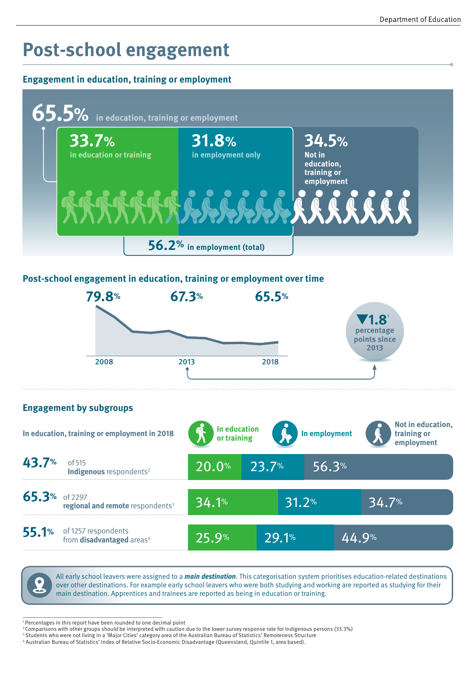# **Post-school engagement**

#### **Engagement in education, training or employment**



#### **Post-school engagement in education, training or employment over time**



#### **Engagement by subgroups**





All early school leavers were assigned to a **main destination**. This categorisation system prioritises education-related destinations over other destinations. For example early school leavers who were both studying and working are reported as studying for their main destination. Apprentices and trainees are reported as being in education or training.

<sup>1</sup> Percentages in this report have been rounded to one decimal point

<sup>2</sup> Comparisons with other groups should be interpreted with caution due to the lower survey response rate for Indigenous persons (33.3%)

<sup>&</sup>lt;sup>3</sup> Students who were not living in a 'Major Cities' category area of the Australian Bureau of Statistics' Remoteness Structure

<sup>4</sup> Australian Bureau of Statistics' Index of Relative Socio-Economic Disadvantage (Queensland, Quintile 1, area based).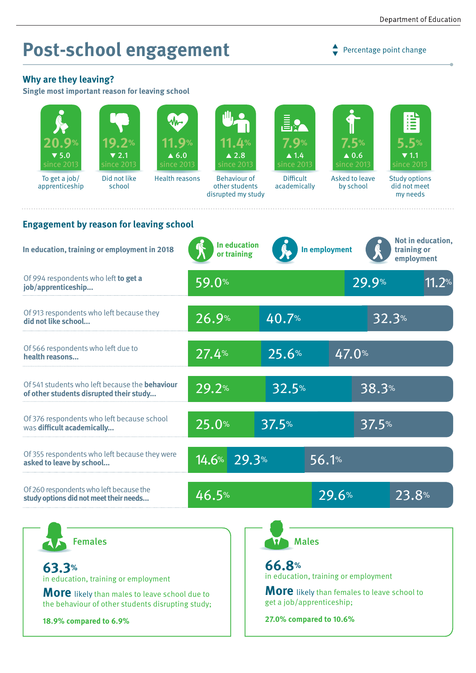# **Post-school engagement**

 $\rightarrow$  Percentage point change

### **Why are they leaving?**

**Single most important reason for leaving school**

| 20.9%<br>$\blacktriangledown$ 5.0<br>since 2013                                                           | 19.2%<br>$\blacktriangledown$ 2.1<br>since 2013 | <b>11.9</b> %<br>$\blacktriangle$ 6.0<br>since 2013 |                     | <b>11.4%</b><br>$\triangle 2.8$<br>since 2013               | Ē.<br>7.9%<br>$\blacktriangle$ 1.4<br>since 2013                                |               | 7.5%<br>$\blacktriangle$ 0.6<br>since 2013 | 言<br>5.5%<br>$\blacktriangledown$ 1.1<br>since 2013 |  |
|-----------------------------------------------------------------------------------------------------------|-------------------------------------------------|-----------------------------------------------------|---------------------|-------------------------------------------------------------|---------------------------------------------------------------------------------|---------------|--------------------------------------------|-----------------------------------------------------|--|
| To get a job/<br>apprenticeship                                                                           | Did not like<br>school                          | <b>Health reasons</b>                               |                     | <b>Behaviour of</b><br>other students<br>disrupted my study | <b>Difficult</b><br>academically                                                |               | Asked to leave<br>by school                | <b>Study options</b><br>did not meet<br>my needs    |  |
| <b>Engagement by reason for leaving school</b>                                                            |                                                 |                                                     |                     |                                                             |                                                                                 |               |                                            |                                                     |  |
| In education, training or employment in 2018                                                              |                                                 |                                                     |                     | In education<br>or training                                 |                                                                                 | In employment |                                            | Not in education,<br>training or<br>employment      |  |
| Of 994 respondents who left to get a<br>job/apprenticeship                                                |                                                 |                                                     | 59.0%               |                                                             |                                                                                 |               | 29.9%                                      | 11.2%                                               |  |
| Of 913 respondents who left because they<br>did not like school                                           |                                                 |                                                     | 26.9%               |                                                             | 40.7%                                                                           |               |                                            | 32.3%                                               |  |
| Of 566 respondents who left due to<br>health reasons                                                      |                                                 |                                                     | 27.4%               |                                                             | 25.6%                                                                           |               | 47.0%                                      |                                                     |  |
| Of 541 students who left because the <b>behaviour</b><br>of other students disrupted their study          |                                                 |                                                     | 29.2%               |                                                             | 32.5%                                                                           |               | 38.3%                                      |                                                     |  |
| Of 376 respondents who left because school<br>was difficult academically                                  |                                                 |                                                     | 25.0%               |                                                             | 37.5%                                                                           |               | 37.5%                                      |                                                     |  |
| Of 355 respondents who left because they were<br>asked to leave by school                                 |                                                 |                                                     | 14.6%               | 29.3%                                                       |                                                                                 | 56.1%         |                                            |                                                     |  |
| Of 260 respondents who left because the<br>study options did not meet their needs                         |                                                 |                                                     | $\overline{46.5}$ % |                                                             |                                                                                 | 29.6%         |                                            | 23.8%                                               |  |
| <b>Females</b>                                                                                            |                                                 |                                                     |                     |                                                             |                                                                                 | <b>Males</b>  |                                            |                                                     |  |
| 63.3%<br>in education, training or employment                                                             |                                                 |                                                     |                     | 66.8%<br>in education, training or employment               |                                                                                 |               |                                            |                                                     |  |
| <b>More</b> likely than males to leave school due to<br>the behaviour of other students disrupting study; |                                                 |                                                     |                     |                                                             | <b>More</b> likely than females to leave school to<br>get a job/apprenticeship; |               |                                            |                                                     |  |
| 18.9% compared to 6.9%                                                                                    |                                                 |                                                     |                     |                                                             | 27.0% compared to 10.6%                                                         |               |                                            |                                                     |  |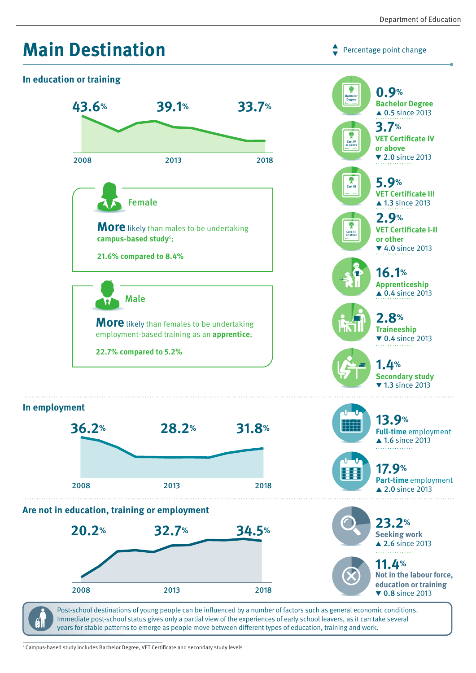

Post-school destinations of young people can be influenced by a number of factors such as general economic conditions. Immediate post-school status gives only a partial view of the experiences of early school leavers, as it can take several 91 years for stable patterns to emerge as people move between different types of education, training and work.

5 Campus-based study includes Bachelor Degree, VET Certificate and secondary study levels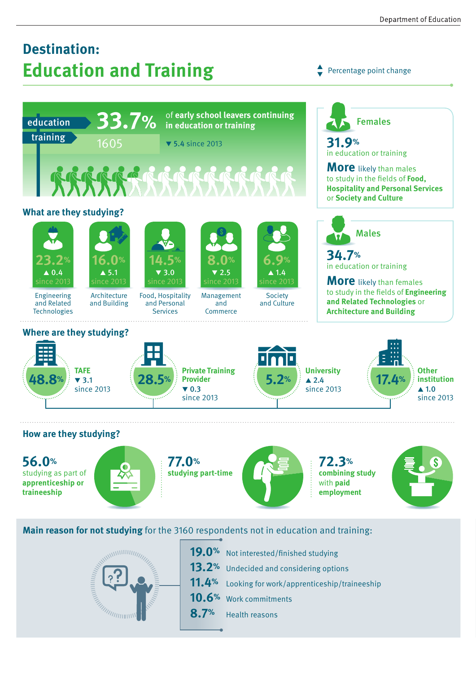## **Destination: Education and Training**

Percentage point change  $\blacktriangledown$ 



studying as part of **apprenticeship or traineeship**





**combining study** with **paid employment**



**Main reason for not studying** for the 3160 respondents not in education and training:



19.0% Not interested/finished studying 13.2<sup>%</sup> Undecided and considering options **11.4%** Looking for work/apprenticeship/traineeship **10.6%** Work commitments **8.7%** Health reasons